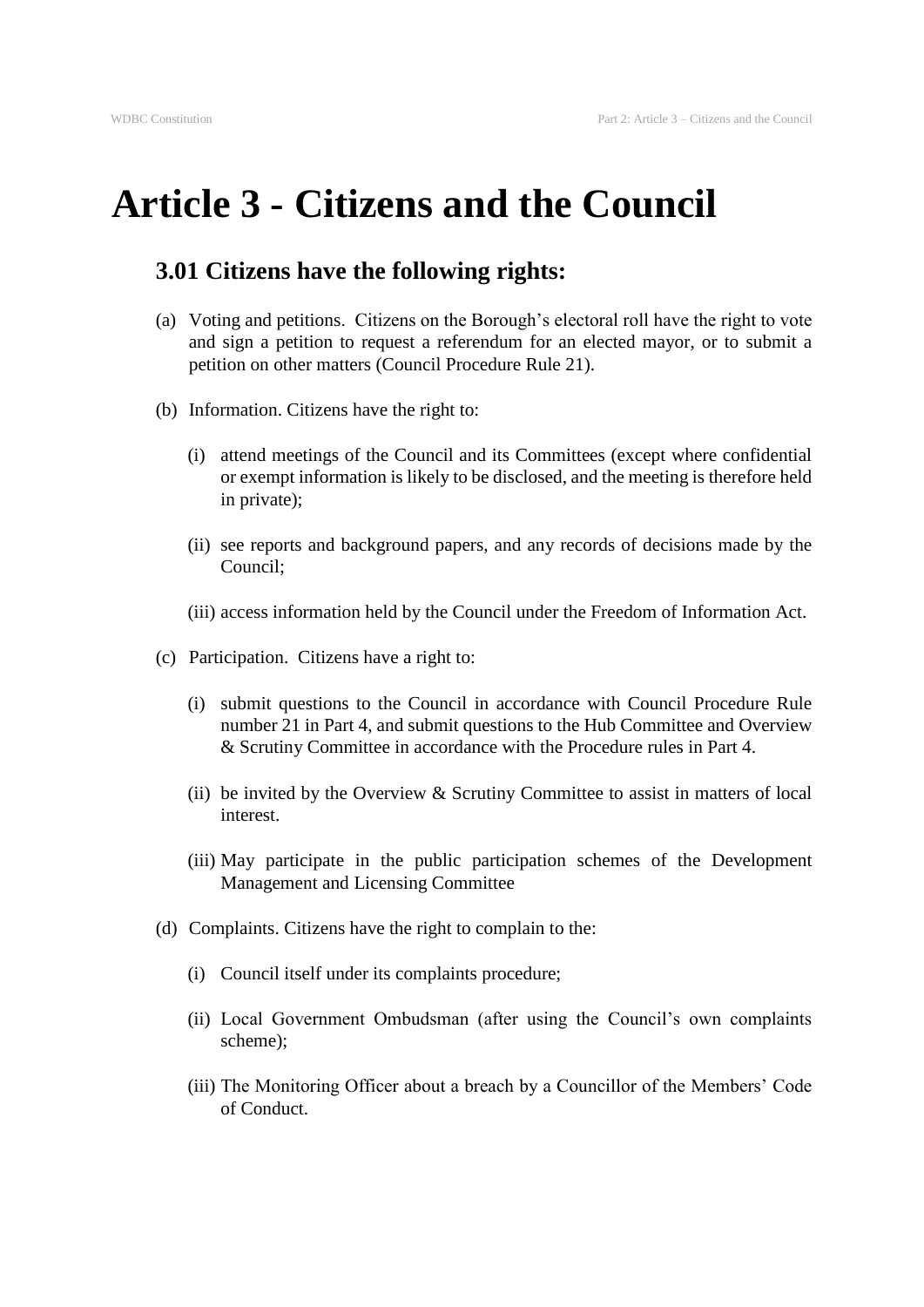## **Article 3 - Citizens and the Council**

## **3.01 Citizens have the following rights:**

- (a) Voting and petitions. Citizens on the Borough's electoral roll have the right to vote and sign a petition to request a referendum for an elected mayor, or to submit a petition on other matters (Council Procedure Rule 21).
- (b) Information. Citizens have the right to:
	- (i) attend meetings of the Council and its Committees (except where confidential or exempt information is likely to be disclosed, and the meeting is therefore held in private);
	- (ii) see reports and background papers, and any records of decisions made by the Council;
	- (iii) access information held by the Council under the Freedom of Information Act.
- (c) Participation. Citizens have a right to:
	- (i) submit questions to the Council in accordance with Council Procedure Rule number 21 in Part 4, and submit questions to the Hub Committee and Overview & Scrutiny Committee in accordance with the Procedure rules in Part 4.
	- (ii) be invited by the Overview  $&$  Scrutiny Committee to assist in matters of local interest.
	- (iii) May participate in the public participation schemes of the Development Management and Licensing Committee
- (d) Complaints. Citizens have the right to complain to the:
	- (i) Council itself under its complaints procedure;
	- (ii) Local Government Ombudsman (after using the Council's own complaints scheme);
	- (iii) The Monitoring Officer about a breach by a Councillor of the Members' Code of Conduct.